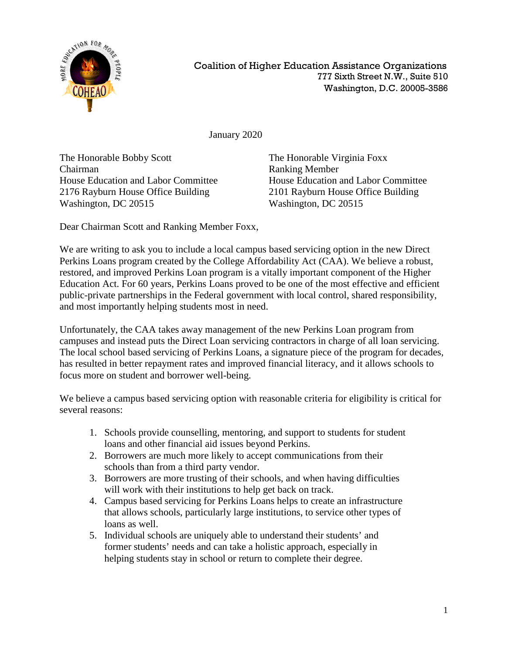

January 2020

The Honorable Bobby Scott The Honorable Virginia Foxx Chairman Ranking Member 2176 Rayburn House Office Building 2101 Rayburn House Office Building Washington, DC 20515 Washington, DC 20515

House Education and Labor Committee House Education and Labor Committee

Dear Chairman Scott and Ranking Member Foxx,

We are writing to ask you to include a local campus based servicing option in the new Direct Perkins Loans program created by the College Affordability Act (CAA). We believe a robust, restored, and improved Perkins Loan program is a vitally important component of the Higher Education Act. For 60 years, Perkins Loans proved to be one of the most effective and efficient public-private partnerships in the Federal government with local control, shared responsibility, and most importantly helping students most in need.

Unfortunately, the CAA takes away management of the new Perkins Loan program from campuses and instead puts the Direct Loan servicing contractors in charge of all loan servicing. The local school based servicing of Perkins Loans, a signature piece of the program for decades, has resulted in better repayment rates and improved financial literacy, and it allows schools to focus more on student and borrower well-being.

We believe a campus based servicing option with reasonable criteria for eligibility is critical for several reasons:

- 1. Schools provide counselling, mentoring, and support to students for student loans and other financial aid issues beyond Perkins.
- 2. Borrowers are much more likely to accept communications from their schools than from a third party vendor.
- 3. Borrowers are more trusting of their schools, and when having difficulties will work with their institutions to help get back on track.
- 4. Campus based servicing for Perkins Loans helps to create an infrastructure that allows schools, particularly large institutions, to service other types of loans as well.
- 5. Individual schools are uniquely able to understand their students' and former students' needs and can take a holistic approach, especially in helping students stay in school or return to complete their degree.